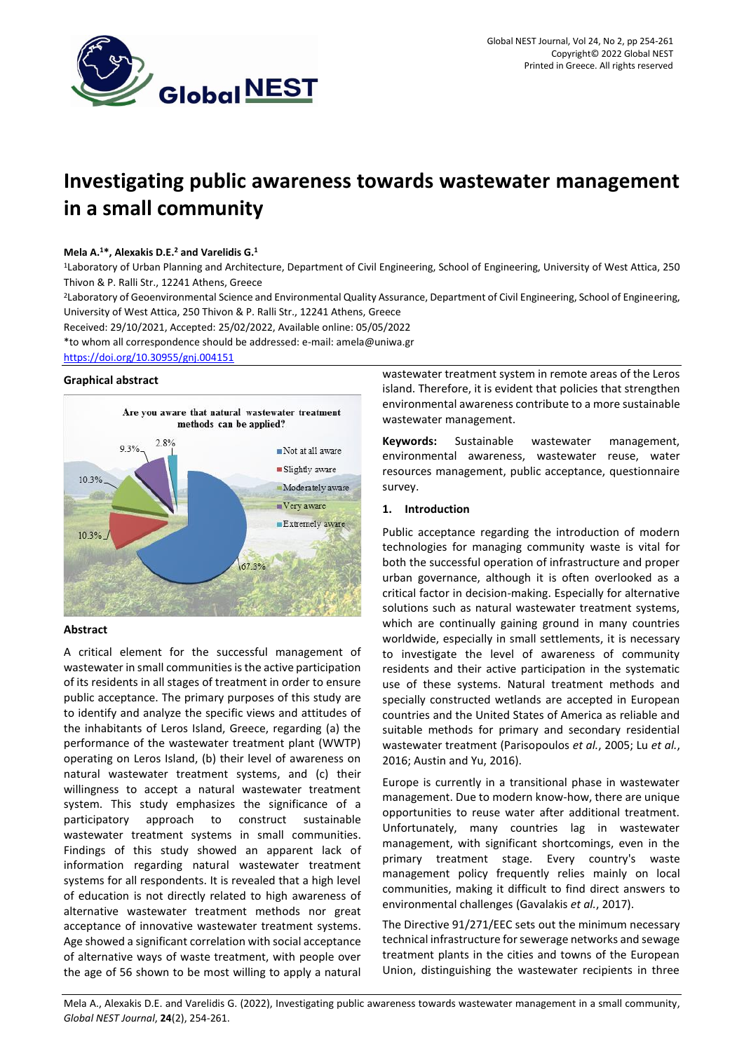

# **Investigating public awareness towards wastewater management in a small community**

#### **Mela A.<sup>1</sup>\*, Alexakis D.E.<sup>2</sup> and Varelidis G.<sup>1</sup>**

<sup>1</sup>Laboratory of Urban Planning and Architecture, Department of Civil Engineering, School of Engineering, University of West Attica, 250 Thivon & P. Ralli Str., 12241 Athens, Greece

<sup>2</sup>Laboratory of Geoenvironmental Science and Environmental Quality Assurance, Department of Civil Engineering, School of Engineering, University of West Attica, 250 Thivon & P. Ralli Str., 12241 Athens, Greece

Received: 29/10/2021, Accepted: 25/02/2022, Available online: 05/05/2022

\*to whom all correspondence should be addressed: e-mail: amela@uniwa.gr

<https://doi.org/10.30955/gnj.004151>

#### **Graphical abstract**



## **Abstract**

A critical element for the successful management of wastewater in small communities is the active participation of its residents in all stages of treatment in order to ensure public acceptance. The primary purposes of this study are to identify and analyze the specific views and attitudes of the inhabitants of Leros Island, Greece, regarding (a) the performance of the wastewater treatment plant (WWTP) operating on Leros Island, (b) their level of awareness on natural wastewater treatment systems, and (c) their willingness to accept a natural wastewater treatment system. This study emphasizes the significance of a participatory approach to construct sustainable wastewater treatment systems in small communities. Findings of this study showed an apparent lack of information regarding natural wastewater treatment systems for all respondents. It is revealed that a high level of education is not directly related to high awareness of alternative wastewater treatment methods nor great acceptance of innovative wastewater treatment systems. Age showed a significant correlation with social acceptance of alternative ways of waste treatment, with people over the age of 56 shown to be most willing to apply a natural

wastewater treatment system in remote areas of the Leros island. Therefore, it is evident that policies that strengthen environmental awareness contribute to a more sustainable wastewater management.

**Keywords:** Sustainable wastewater management, environmental awareness, wastewater reuse, water resources management, public acceptance, questionnaire survey.

### **1. Introduction**

Public acceptance regarding the introduction of modern technologies for managing community waste is vital for both the successful operation of infrastructure and proper urban governance, although it is often overlooked as a critical factor in decision-making. Especially for alternative solutions such as natural wastewater treatment systems, which are continually gaining ground in many countries worldwide, especially in small settlements, it is necessary to investigate the level of awareness of community residents and their active participation in the systematic use of these systems. Natural treatment methods and specially constructed wetlands are accepted in European countries and the United States of America as reliable and suitable methods for primary and secondary residential wastewater treatment (Parisopoulos *et al.*, 2005; Lu *et al.*, 2016; Austin and Yu, 2016).

Europe is currently in a transitional phase in wastewater management. Due to modern know-how, there are unique opportunities to reuse water after additional treatment. Unfortunately, many countries lag in wastewater management, with significant shortcomings, even in the primary treatment stage. Every country's waste management policy frequently relies mainly on local communities, making it difficult to find direct answers to environmental challenges (Gavalakis *et al.*, 2017).

The Directive 91/271/EEC sets out the minimum necessary technical infrastructure for sewerage networks and sewage treatment plants in the cities and towns of the European Union, distinguishing the wastewater recipients in three

Mela A., Alexakis D.E. and Varelidis G. (2022), Investigating public awareness towards wastewater management in a small community, *Global NEST Journal*, **24**(2), 254-261.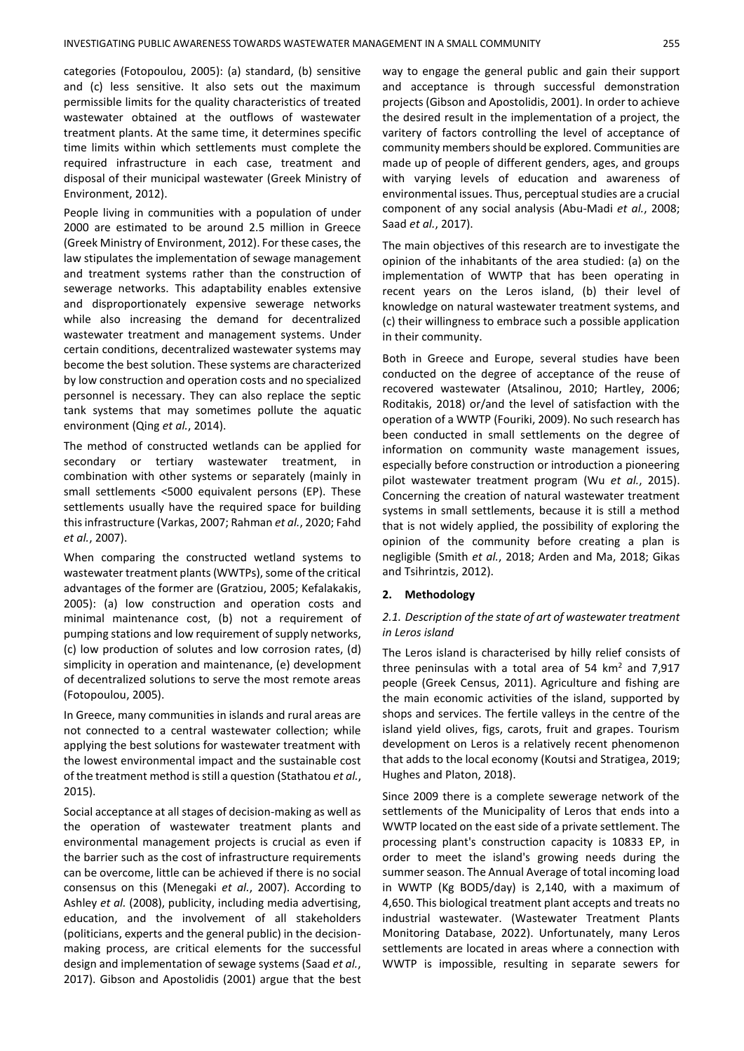categories (Fotopoulou, 2005): (a) standard, (b) sensitive and (c) less sensitive. It also sets out the maximum permissible limits for the quality characteristics of treated wastewater obtained at the outflows of wastewater treatment plants. At the same time, it determines specific time limits within which settlements must complete the required infrastructure in each case, treatment and disposal of their municipal wastewater (Greek Ministry of Environment, 2012).

People living in communities with a population of under 2000 are estimated to be around 2.5 million in Greece (Greek Ministry of Environment, 2012). For these cases, the law stipulates the implementation of sewage management and treatment systems rather than the construction of sewerage networks. This adaptability enables extensive and disproportionately expensive sewerage networks while also increasing the demand for decentralized wastewater treatment and management systems. Under certain conditions, decentralized wastewater systems may become the best solution. These systems are characterized by low construction and operation costs and no specialized personnel is necessary. They can also replace the septic tank systems that may sometimes pollute the aquatic environment (Qing *et al.*, 2014).

The method of constructed wetlands can be applied for secondary or tertiary wastewater treatment, combination with other systems or separately (mainly in small settlements <5000 equivalent persons (EP). These settlements usually have the required space for building this infrastructure (Varkas, 2007; Rahman *et al.*, 2020; Fahd *et al.*, 2007).

When comparing the constructed wetland systems to wastewater treatment plants (WWTPs), some of the critical advantages of the former are (Gratziou, 2005; Kefalakakis, 2005): (a) low construction and operation costs and minimal maintenance cost, (b) not a requirement of pumping stations and low requirement of supply networks, (c) low production of solutes and low corrosion rates, (d) simplicity in operation and maintenance, (e) development of decentralized solutions to serve the most remote areas (Fotopoulou, 2005).

In Greece, many communities in islands and rural areas are not connected to a central wastewater collection; while applying the best solutions for wastewater treatment with the lowest environmental impact and the sustainable cost of the treatment method is still a question (Stathatou *et al.*, 2015).

Social acceptance at all stages of decision-making as well as the operation of wastewater treatment plants and environmental management projects is crucial as even if the barrier such as the cost of infrastructure requirements can be overcome, little can be achieved if there is no social consensus on this (Menegaki *et al.*, 2007). According to Ashley *et al.* (2008), publicity, including media advertising, education, and the involvement of all stakeholders (politicians, experts and the general public) in the decisionmaking process, are critical elements for the successful design and implementation of sewage systems (Saad *et al.*, 2017). Gibson and Apostolidis (2001) argue that the best

way to engage the general public and gain their support and acceptance is through successful demonstration projects (Gibson and Apostolidis, 2001). In order to achieve the desired result in the implementation of a project, the varitery of factors controlling the level of acceptance of community members should be explored. Communities are made up of people of different genders, ages, and groups with varying levels of education and awareness of environmental issues. Thus, perceptual studies are a crucial component of any social analysis (Abu‐Madi *et al.*, 2008; Saad *et al.*, 2017).

The main objectives of this research are to investigate the opinion of the inhabitants of the area studied: (a) on the implementation of WWTP that has been operating in recent years on the Leros island, (b) their level of knowledge on natural wastewater treatment systems, and (c) their willingness to embrace such a possible application in their community.

Both in Greece and Europe, several studies have been conducted on the degree of acceptance of the reuse of recovered wastewater (Atsalinou, 2010; Hartley, 2006; Roditakis, 2018) οr/and the level of satisfaction with the operation of a WWTP (Fouriki, 2009). No such research has been conducted in small settlements on the degree of information on community waste management issues, especially before construction or introduction a pioneering pilot wastewater treatment program (Wu *et al.*, 2015). Concerning the creation of natural wastewater treatment systems in small settlements, because it is still a method that is not widely applied, the possibility of exploring the opinion of the community before creating a plan is negligible (Smith *et al.*, 2018; Arden and Ma, 2018; Gikas and Tsihrintzis, 2012).

#### **2. Methodology**

### *2.1. Description of the state of art of wastewater treatment in Leros island*

The Leros island is characterised by hilly relief consists of three peninsulas with a total area of 54  $km<sup>2</sup>$  and 7,917 people (Greek Census, 2011). Agriculture and fishing are the main economic activities of the island, supported by shops and services. The fertile valleys in the centre of the island yield olives, figs, carots, fruit and grapes. Tourism development on Leros is a relatively recent phenomenon that adds to the local economy (Koutsi and Stratigea, 2019; Hughes and Platon, 2018).

Since 2009 there is a complete sewerage network of the settlements of the Municipality of Leros that ends into a WWTP located on the east side of a private settlement. The processing plant's construction capacity is 10833 EP, in order to meet the island's growing needs during the summer season. The Annual Average of total incoming load in WWTP (Kg BOD5/day) is 2,140, with a maximum of 4,650. This biological treatment plant accepts and treats no industrial wastewater. (Wastewater Treatment Plants Monitoring Database, 2022). Unfortunately, many Leros settlements are located in areas where a connection with WWTP is impossible, resulting in separate sewers for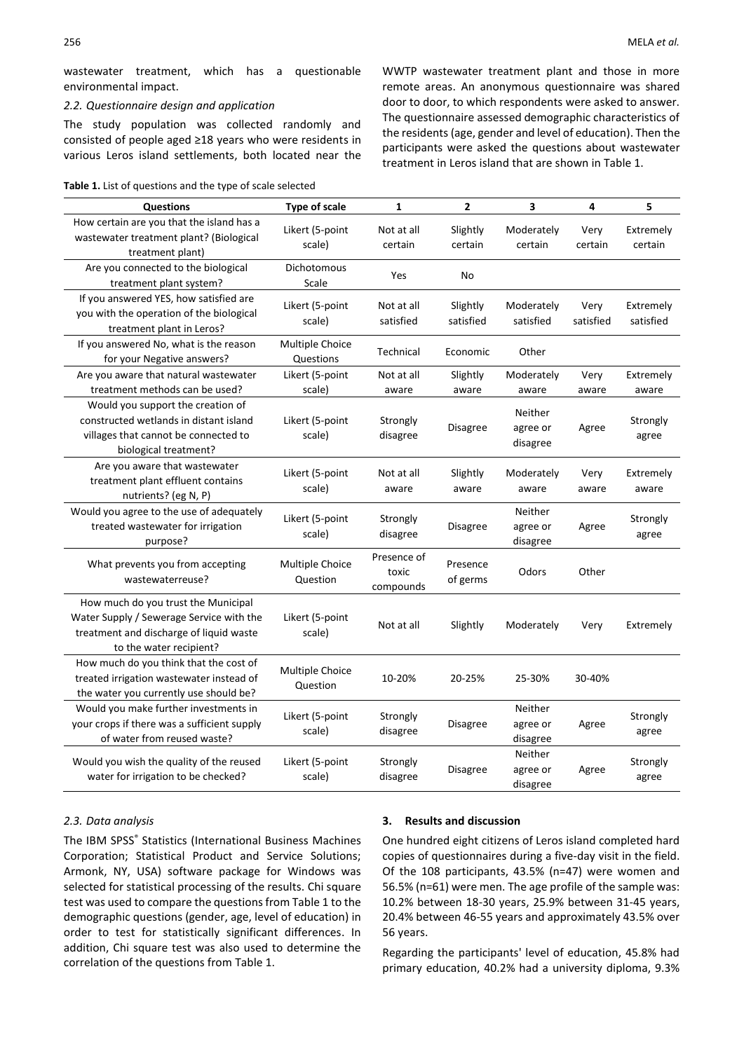wastewater treatment, which has a questionable environmental impact.

#### *2.2. Questionnaire design and application*

The study population was collected randomly and consisted of people aged ≥18 years who were residents in various Leros island settlements, both located near the

|  |  | Table 1. List of questions and the type of scale selected |  |  |  |  |
|--|--|-----------------------------------------------------------|--|--|--|--|
|--|--|-----------------------------------------------------------|--|--|--|--|

WWTP wastewater treatment plant and those in more remote areas. An anonymous questionnaire was shared door to door, to which respondents were asked to answer. The questionnaire assessed demographic characteristics of the residents (age, gender and level of education). Then the participants were asked the questions about wastewater treatment in Leros island that are shown in Table 1.

| <b>Questions</b>                                                                                                                                      | <b>Type of scale</b>         | 1                                 | 2                     | 3                               | 4                 | 5                      |
|-------------------------------------------------------------------------------------------------------------------------------------------------------|------------------------------|-----------------------------------|-----------------------|---------------------------------|-------------------|------------------------|
| How certain are you that the island has a<br>wastewater treatment plant? (Biological<br>treatment plant)                                              | Likert (5-point<br>scale)    | Not at all<br>certain             | Slightly<br>certain   | Moderately<br>certain           | Very<br>certain   | Extremely<br>certain   |
| Are you connected to the biological<br>treatment plant system?                                                                                        | Dichotomous<br>Scale         | Yes                               | No                    |                                 |                   |                        |
| If you answered YES, how satisfied are<br>you with the operation of the biological<br>treatment plant in Leros?                                       | Likert (5-point<br>scale)    | Not at all<br>satisfied           | Slightly<br>satisfied | Moderately<br>satisfied         | Very<br>satisfied | Extremely<br>satisfied |
| If you answered No, what is the reason<br>for your Negative answers?                                                                                  | Multiple Choice<br>Questions | Technical                         | Economic              | Other                           |                   |                        |
| Are you aware that natural wastewater<br>treatment methods can be used?                                                                               | Likert (5-point<br>scale)    | Not at all<br>aware               | Slightly<br>aware     | Moderately<br>aware             | Very<br>aware     | Extremely<br>aware     |
| Would you support the creation of<br>constructed wetlands in distant island<br>villages that cannot be connected to<br>biological treatment?          | Likert (5-point<br>scale)    | Strongly<br>disagree              | Disagree              | Neither<br>agree or<br>disagree | Agree             | Strongly<br>agree      |
| Are you aware that wastewater<br>treatment plant effluent contains<br>nutrients? (eg N, P)                                                            | Likert (5-point<br>scale)    | Not at all<br>aware               | Slightly<br>aware     | Moderately<br>aware             | Very<br>aware     | Extremely<br>aware     |
| Would you agree to the use of adequately<br>treated wastewater for irrigation<br>purpose?                                                             | Likert (5-point<br>scale)    | Strongly<br>disagree              | Disagree              | Neither<br>agree or<br>disagree | Agree             | Strongly<br>agree      |
| What prevents you from accepting<br>wastewaterreuse?                                                                                                  | Multiple Choice<br>Question  | Presence of<br>toxic<br>compounds | Presence<br>of germs  | Odors                           | Other             |                        |
| How much do you trust the Municipal<br>Water Supply / Sewerage Service with the<br>treatment and discharge of liquid waste<br>to the water recipient? | Likert (5-point<br>scale)    | Not at all                        | Slightly              | Moderately                      | Very              | Extremely              |
| How much do you think that the cost of<br>treated irrigation wastewater instead of<br>the water you currently use should be?                          | Multiple Choice<br>Question  | 10-20%                            | 20-25%                | 25-30%                          | 30-40%            |                        |
| Would you make further investments in<br>your crops if there was a sufficient supply<br>of water from reused waste?                                   | Likert (5-point<br>scale)    | Strongly<br>disagree              | Disagree              | Neither<br>agree or<br>disagree | Agree             | Strongly<br>agree      |
| Would you wish the quality of the reused<br>water for irrigation to be checked?                                                                       | Likert (5-point<br>scale)    | Strongly<br>disagree              | Disagree              | Neither<br>agree or<br>disagree | Agree             | Strongly<br>agree      |

#### *2.3. Data analysis*

The IBM SPSS® Statistics (International Business Machines Corporation; Statistical Product and Service Solutions; Armonk, NY, USA) software package for Windows was selected for statistical processing of the results. Chi square test was used to compare the questions from Table 1 to the demographic questions (gender, age, level of education) in order to test for statistically significant differences. In addition, Chi square test was also used to determine the correlation of the questions from Table 1.

#### **3. Results and discussion**

One hundred eight citizens of Leros island completed hard copies of questionnaires during a five-day visit in the field. Of the 108 participants, 43.5% (n=47) were women and 56.5% (n=61) were men. The age profile of the sample was: 10.2% between 18-30 years, 25.9% between 31-45 years, 20.4% between 46-55 years and approximately 43.5% over 56 years.

Regarding the participants' level of education, 45.8% had primary education, 40.2% had a university diploma, 9.3%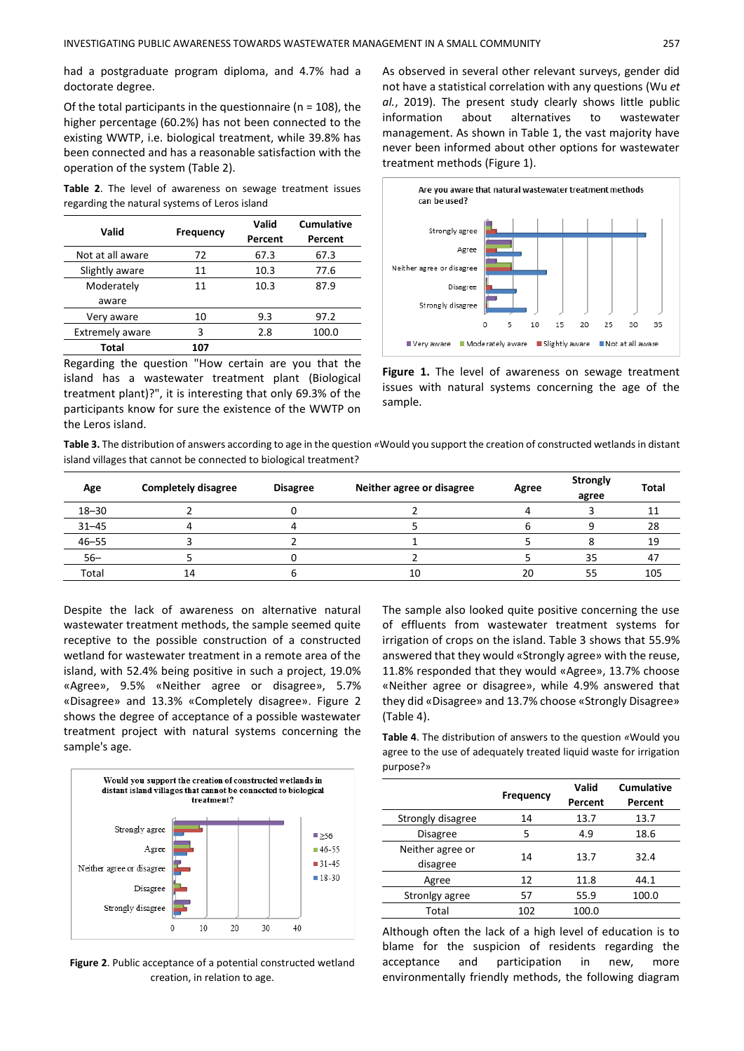had a postgraduate program diploma, and 4.7% had a doctorate degree.

Of the total participants in the questionnaire (n = 108), the higher percentage (60.2%) has not been connected to the existing WWTP, i.e. biological treatment, while 39.8% has been connected and has a reasonable satisfaction with the operation of the system (Table 2).

**Table 2**. The level of awareness on sewage treatment issues regarding the natural systems of Leros island

| Valid                  | <b>Frequency</b> | Valid<br>Percent | Cumulative<br>Percent |
|------------------------|------------------|------------------|-----------------------|
| Not at all aware       | 72               | 67.3             | 67.3                  |
| Slightly aware         | 11               | 10.3             | 77.6                  |
| Moderately             | 11               | 10.3             | 87.9                  |
| aware                  |                  |                  |                       |
| Very aware             | 10               | 9.3              | 97.2                  |
| <b>Extremely aware</b> | 3                | 2.8              | 100.0                 |
| Total                  | 107              |                  |                       |

Regarding the question "How certain are you that the island has a wastewater treatment plant (Biological treatment plant)?", it is interesting that only 69.3% of the participants know for sure the existence of the WWTP on the Leros island.

As observed in several other relevant surveys, gender did not have a statistical correlation with any questions (Wu *et al.*, 2019). The present study clearly shows little public information about alternatives to wastewater management. As shown in Table 1, the vast majority have never been informed about other options for wastewater treatment methods (Figure 1).



**Figure 1.** The level of awareness on sewage treatment issues with natural systems concerning the age of the sample.

**Table 3.** The distribution of answers according to age in the question *«*Would you support the creation of constructed wetlands in distant island villages that cannot be connected to biological treatment?

| Age       | <b>Completely disagree</b> | <b>Disagree</b> | Neither agree or disagree | Agree | <b>Strongly</b><br>agree | <b>Total</b> |
|-----------|----------------------------|-----------------|---------------------------|-------|--------------------------|--------------|
| $18 - 30$ |                            |                 |                           |       |                          | ᆠ            |
| $31 - 45$ |                            |                 |                           |       |                          | 28           |
| $46 - 55$ |                            |                 |                           |       |                          | 19           |
| $56 -$    |                            |                 |                           |       | 35                       | 47           |
| Total     | 14                         |                 | 10                        | 20    | 55                       | 105          |

Despite the lack of awareness on alternative natural wastewater treatment methods, the sample seemed quite receptive to the possible construction of a constructed wetland for wastewater treatment in a remote area of the island, with 52.4% being positive in such a project, 19.0% «Agree», 9.5% «Neither agree or disagree», 5.7% «Disagree» and 13.3% «Completely disagree». Figure 2 shows the degree of acceptance of a possible wastewater treatment project with natural systems concerning the sample's age.



**Figure 2**. Public acceptance of a potential constructed wetland creation, in relation to age.

The sample also looked quite positive concerning the use of effluents from wastewater treatment systems for irrigation of crops on the island. Table 3 shows that 55.9% answered that they would «Strongly agree» with the reuse, 11.8% responded that they would «Agree», 13.7% choose «Neither agree or disagree», while 4.9% answered that they did «Disagree» and 13.7% choose «Strongly Disagree» (Table 4).

**Table 4**. The distribution of answers to the question *«*Would you agree to the use of adequately treated liquid waste for irrigation purpose?»

|                   |           | Valid   | <b>Cumulative</b> |  |
|-------------------|-----------|---------|-------------------|--|
|                   | Frequency | Percent | Percent           |  |
| Strongly disagree | 14        | 13.7    | 13.7              |  |
| <b>Disagree</b>   | 5         | 4.9     | 18.6              |  |
| Neither agree or  | 14        | 13.7    | 32.4              |  |
| disagree          |           |         |                   |  |
| Agree             | 12        | 11.8    | 44.1              |  |
| Stronlgy agree    | 57        | 55.9    | 100.0             |  |
| Total             | 102       | 100.0   |                   |  |

Although often the lack of a high level of education is to blame for the suspicion of residents regarding the acceptance and participation in new, more environmentally friendly methods, the following diagram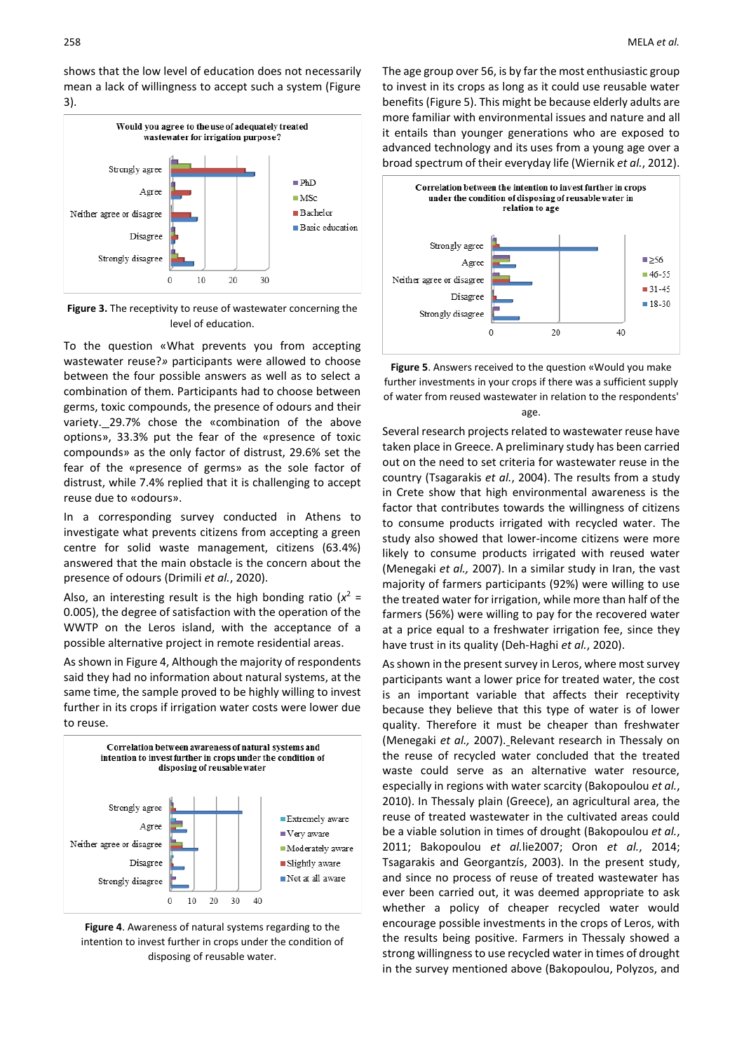shows that the low level of education does not necessarily mean a lack of willingness to accept such a system (Figure 3).



**Figure 3.** The receptivity to reuse of wastewater concerning the level of education.

To the question «What prevents you from accepting wastewater reuse?*»* participants were allowed to choose between the four possible answers as well as to select a combination of them. Participants had to choose between germs, toxic compounds, the presence of odours and their variety. 29.7% chose the «combination of the above options», 33.3% put the fear of the «presence of toxic compounds» as the only factor of distrust, 29.6% set the fear of the «presence of germs» as the sole factor of distrust, while 7.4% replied that it is challenging to accept reuse due to «odours».

In a corresponding survey conducted in Athens to investigate what prevents citizens from accepting a green centre for solid waste management, citizens (63.4%) answered that the main obstacle is the concern about the presence of odours (Drimili *et al.*, 2020).

Also, an interesting result is the high bonding ratio  $(x^2 =$ 0.005), the degree of satisfaction with the operation of the WWTP on the Leros island, with the acceptance of a possible alternative project in remote residential areas.

As shown in Figure 4, Although the majority of respondents said they had no information about natural systems, at the same time, the sample proved to be highly willing to invest further in its crops if irrigation water costs were lower due to reuse.



**Figure 4**. Awareness of natural systems regarding to the intention to invest further in crops under the condition of disposing of reusable water.

The age group over 56, is by far the most enthusiastic group to invest in its crops as long as it could use reusable water benefits (Figure 5). This might be because elderly adults are more familiar with environmental issues and nature and all it entails than younger generations who are exposed to advanced technology and its uses from a young age over a broad spectrum of their everyday life (Wiernik *et al.*, 2012).



**Figure 5**. Answers received to the question «Would you make further investments in your crops if there was a sufficient supply of water from reused wastewater in relation to the respondents' age.

Several research projects related to wastewater reuse have taken place in Greece. A preliminary study has been carried out on the need to set criteria for wastewater reuse in the country (Tsagarakis *et al.*, 2004). The results from a study in Crete show that high environmental awareness is the factor that contributes towards the willingness of citizens to consume products irrigated with recycled water. The study also showed that lower-income citizens were more likely to consume products irrigated with reused water (Menegaki *et al.,* 2007). In a similar study in Iran, the vast majority of farmers participants (92%) were willing to use the treated water for irrigation, while more than half of the farmers (56%) were willing to pay for the recovered water at a price equal to a freshwater irrigation fee, since they have trust in its quality (Deh-Haghi *et al.*, 2020).

As shown in the present survey in Leros, where most survey participants want a lower price for treated water, the cost is an important variable that affects their receptivity because they believe that this type of water is of lower quality. Therefore it must be cheaper than freshwater (Menegaki *et al.,* 2007). Relevant research in Thessaly on the reuse of recycled water concluded that the treated waste could serve as an alternative water resource, especially in regions with water scarcity (Bakopoulou *et al.*, 2010). In Thessaly plain (Greece), an agricultural area, the reuse of treated wastewater in the cultivated areas could be a viable solution in times of drought (Bakopoulou *et al.*, 2011; Bakopoulou *et al.*lie2007; Oron *et al.*, 2014; Tsagarakis and Georgantzís, 2003). In the present study, and since no process of reuse of treated wastewater has ever been carried out, it was deemed appropriate to ask whether a policy of cheaper recycled water would encourage possible investments in the crops of Leros, with the results being positive. Farmers in Thessaly showed a strong willingness to use recycled water in times of drought in the survey mentioned above (Bakopoulou, Polyzos, and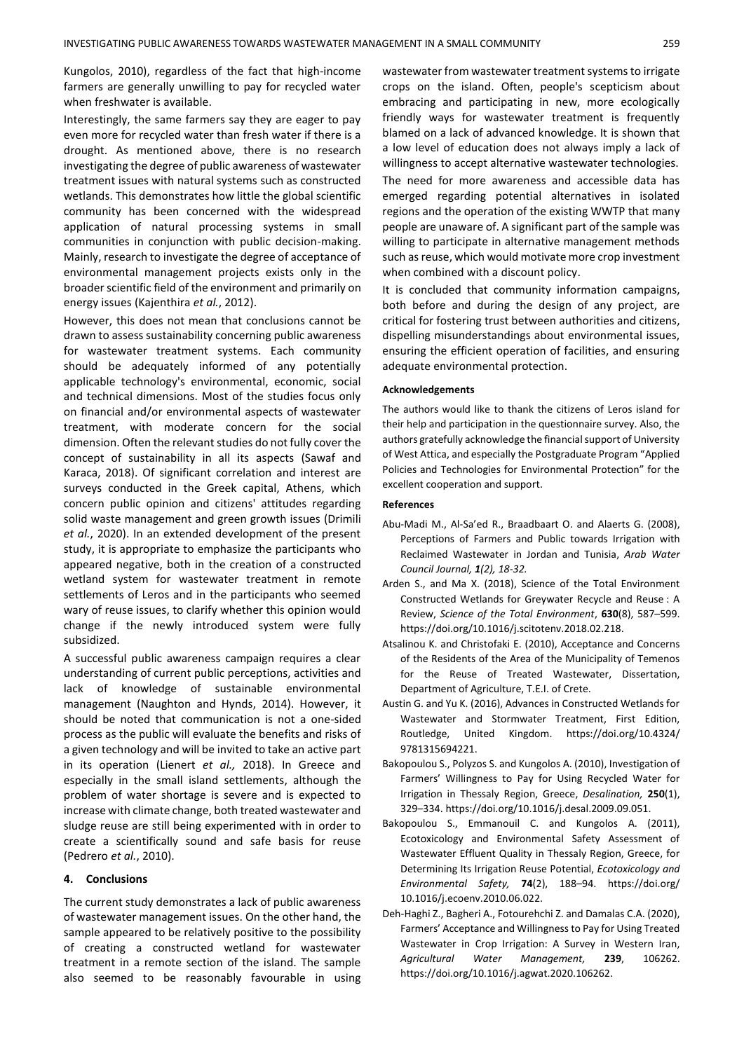Kungolos, 2010), regardless of the fact that high-income farmers are generally unwilling to pay for recycled water when freshwater is available.

Interestingly, the same farmers say they are eager to pay even more for recycled water than fresh water if there is a drought. As mentioned above, there is no research investigating the degree of public awareness of wastewater treatment issues with natural systems such as constructed wetlands. This demonstrates how little the global scientific community has been concerned with the widespread application of natural processing systems in small communities in conjunction with public decision-making. Mainly, research to investigate the degree of acceptance of environmental management projects exists only in the broader scientific field of the environment and primarily on energy issues (Kajenthira *et al.*, 2012).

However, this does not mean that conclusions cannot be drawn to assess sustainability concerning public awareness for wastewater treatment systems. Each community should be adequately informed of any potentially applicable technology's environmental, economic, social and technical dimensions. Most of the studies focus only on financial and/or environmental aspects of wastewater treatment, with moderate concern for the social dimension. Often the relevant studies do not fully cover the concept of sustainability in all its aspects (Sawaf and Karaca, 2018). Of significant correlation and interest are surveys conducted in the Greek capital, Athens, which concern public opinion and citizens' attitudes regarding solid waste management and green growth issues (Drimili *et al.*, 2020). In an extended development of the present study, it is appropriate to emphasize the participants who appeared negative, both in the creation of a constructed wetland system for wastewater treatment in remote settlements of Leros and in the participants who seemed wary of reuse issues, to clarify whether this opinion would change if the newly introduced system were fully subsidized.

A successful public awareness campaign requires a clear understanding of current public perceptions, activities and lack of knowledge of sustainable environmental management (Naughton and Hynds, 2014). However, it should be noted that communication is not a one-sided process as the public will evaluate the benefits and risks of a given technology and will be invited to take an active part in its operation (Lienert *et al.,* 2018). In Greece and especially in the small island settlements, although the problem of water shortage is severe and is expected to increase with climate change, both treated wastewater and sludge reuse are still being experimented with in order to create a scientifically sound and safe basis for reuse (Pedrero *et al.*, 2010).

#### **4. Conclusions**

The current study demonstrates a lack of public awareness of wastewater management issues. On the other hand, the sample appeared to be relatively positive to the possibility of creating a constructed wetland for wastewater treatment in a remote section of the island. The sample also seemed to be reasonably favourable in using wastewater from wastewater treatment systems to irrigate crops on the island. Often, people's scepticism about embracing and participating in new, more ecologically friendly ways for wastewater treatment is frequently blamed on a lack of advanced knowledge. It is shown that a low level of education does not always imply a lack of willingness to accept alternative wastewater technologies.

The need for more awareness and accessible data has emerged regarding potential alternatives in isolated regions and the operation of the existing WWTP that many people are unaware of. A significant part of the sample was willing to participate in alternative management methods such as reuse, which would motivate more crop investment when combined with a discount policy.

It is concluded that community information campaigns, both before and during the design of any project, are critical for fostering trust between authorities and citizens, dispelling misunderstandings about environmental issues, ensuring the efficient operation of facilities, and ensuring adequate environmental protection.

#### **Acknowledgements**

The authors would like to thank the citizens of Leros island for their help and participation in the questionnaire survey. Also, the authors gratefully acknowledge the financial support of University of West Attica, and especially the Postgraduate Program "Applied Policies and Technologies for Environmental Protection" for the excellent cooperation and support.

#### **References**

- Abu‐Madi M., Al‐Sa'ed R., Braadbaart O. and Alaerts G. (2008), Perceptions of Farmers and Public towards Irrigation with Reclaimed Wastewater in Jordan and Tunisia, *Arab Water Council Journal, 1(2), 18-32.*
- Arden S., and Ma X. (2018), Science of the Total Environment Constructed Wetlands for Greywater Recycle and Reuse : A Review, *Science of the Total Environment*, **630**(8), 587–599. https://doi.org/10.1016/j.scitotenv.2018.02.218.
- Atsalinou K. and Christofaki E. (2010), Αcceptance and Concerns of the Residents of the Area of the Municipality of Temenos for the Reuse of Treated Wastewater, Dissertation, Department of Agriculture, T.E.I. of Crete.
- Austin G. and Yu K. (2016), Advances in Constructed Wetlands for Wastewater and Stormwater Treatment, First Edition, Routledge, United Kingdom. https://doi.org/10.4324/ 9781315694221.
- Bakopoulou S., Polyzos S. and Kungolos A. (2010), Investigation of Farmers' Willingness to Pay for Using Recycled Water for Irrigation in Thessaly Region, Greece, *Desalination,* **250**(1), 329–334. https://doi.org/10.1016/j.desal.2009.09.051.
- Bakopoulou S., Emmanouil C. and Kungolos A. (2011), Ecotoxicology and Environmental Safety Assessment of Wastewater Effluent Quality in Thessaly Region, Greece, for Determining Its Irrigation Reuse Potential, *Ecotoxicology and Environmental Safety,* **74**(2), 188–94. https://doi.org/ 10.1016/j.ecoenv.2010.06.022.
- Deh-Haghi Z., Bagheri A., Fotourehchi Z. and Damalas C.A. (2020), Farmers' Acceptance and Willingness to Pay for Using Treated Wastewater in Crop Irrigation: A Survey in Western Iran, *Agricultural Water Management,* **239**, 106262. https://doi.org/10.1016/j.agwat.2020.106262.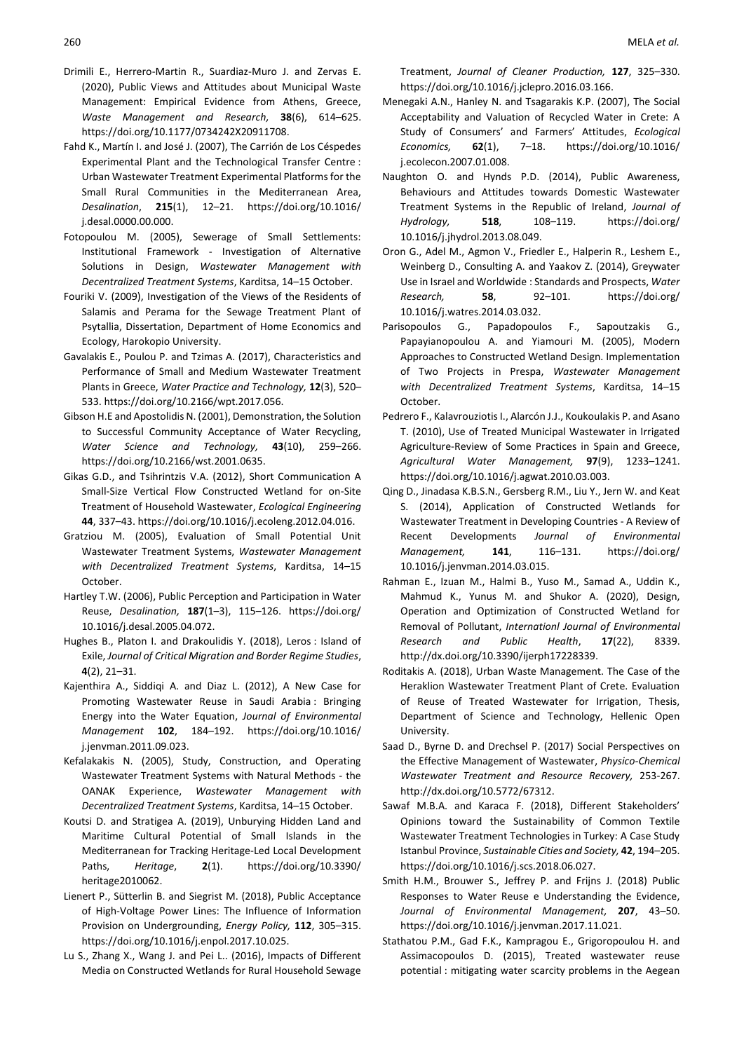- Drimili E., Herrero-Martin R., Suardiaz-Muro J. and Zervas E. (2020), Public Views and Attitudes about Municipal Waste Management: Empirical Evidence from Athens, Greece, *Waste Management and Research,* **38**(6), 614–625. https://doi.org/10.1177/0734242X20911708.
- Fahd K., Martín I. and José J. (2007), The Carrión de Los Céspedes Experimental Plant and the Technological Transfer Centre : Urban Wastewater Treatment Experimental Platforms for the Small Rural Communities in the Mediterranean Area, *Desalination*, **215**(1), 12–21. https://doi.org/10.1016/ j.desal.0000.00.000.
- Fotopoulou M. (2005), Sewerage of Small Settlements: Institutional Framework - Investigation of Alternative Solutions in Design, *Wastewater Management with Decentralized Treatment Systems*, Karditsa, 14–15 October.
- Fouriki V. (2009), Investigation of the Views of the Residents of Salamis and Perama for the Sewage Treatment Plant of Psytallia, Dissertation, Department of Home Economics and Ecology, Harokopio University.
- Gavalakis E., Poulou P. and Tzimas A. (2017), Characteristics and Performance of Small and Medium Wastewater Treatment Plants in Greece, *Water Practice and Technology,* **12**(3), 520– 533. https://doi.org/10.2166/wpt.2017.056.
- Gibson H.E and Apostolidis N. (2001), Demonstration, the Solution to Successful Community Acceptance of Water Recycling, *Water Science and Technology,* **43**(10), 259–266. https://doi.org/10.2166/wst.2001.0635.
- Gikas G.D., and Tsihrintzis V.A. (2012), Short Communication A Small-Size Vertical Flow Constructed Wetland for on-Site Treatment of Household Wastewater, *Ecological Engineering* **44**, 337–43. https://doi.org/10.1016/j.ecoleng.2012.04.016.
- Gratziou M. (2005), Evaluation of Small Potential Unit Wastewater Treatment Systems, *Wastewater Management with Decentralized Treatment Systems*, Karditsa, 14–15 October.
- Hartley T.W. (2006), Public Perception and Participation in Water Reuse, *Desalination,* **187**(1–3), 115–126. https://doi.org/ 10.1016/j.desal.2005.04.072.
- Hughes B., Platon I. and Drakoulidis Y. (2018), Leros : Island of Exile, *Journal of Critical Migration and Border Regime Studies*, **4**(2), 21–31.
- Kajenthira A., Siddiqi A. and Diaz L. (2012), A New Case for Promoting Wastewater Reuse in Saudi Arabia : Bringing Energy into the Water Equation, *Journal of Environmental Management* **102**, 184–192. https://doi.org/10.1016/ j.jenvman.2011.09.023.
- Kefalakakis N. (2005), Study, Construction, and Operating Wastewater Treatment Systems with Natural Methods - the OANAK Experience, *Wastewater Management with Decentralized Treatment Systems*, Karditsa, 14–15 October.
- Koutsi D. and Stratigea A. (2019), Unburying Hidden Land and Maritime Cultural Potential of Small Islands in the Mediterranean for Tracking Heritage-Led Local Development Paths, *Heritage*, **2**(1). https://doi.org/10.3390/ heritage2010062.
- Lienert P., Sütterlin B. and Siegrist M. (2018), Public Acceptance of High-Voltage Power Lines: The Influence of Information Provision on Undergrounding, *Energy Policy,* **112**, 305–315. https://doi.org/10.1016/j.enpol.2017.10.025.
- Lu S., Zhang X., Wang J. and Pei L.. (2016), Impacts of Different Media on Constructed Wetlands for Rural Household Sewage

Treatment, *Journal of Cleaner Production,* **127**, 325–330. https://doi.org/10.1016/j.jclepro.2016.03.166.

- Menegaki A.N., Hanley N. and Tsagarakis K.P. (2007), The Social Acceptability and Valuation of Recycled Water in Crete: A Study of Consumers' and Farmers' Attitudes, *Ecological Economics,* **62**(1), 7–18. https://doi.org/10.1016/ j.ecolecon.2007.01.008.
- Naughton O. and Hynds P.D. (2014), Public Awareness, Behaviours and Attitudes towards Domestic Wastewater Treatment Systems in the Republic of Ireland, *Journal of Hydrology,* **518**, 108–119. https://doi.org/ 10.1016/j.jhydrol.2013.08.049.
- Oron G., Adel M., Agmon V., Friedler E., Halperin R., Leshem E., Weinberg D., Consulting A. and Yaakov Z. (2014), Greywater Use in Israel and Worldwide : Standards and Prospects, *Water Research,* **58**, 92–101. https://doi.org/ 10.1016/j.watres.2014.03.032.
- Parisopoulos G., Papadopoulos F., Sapoutzakis G., Papayianopoulou A. and Yiamouri M. (2005), Modern Approaches to Constructed Wetland Design. Implementation of Two Projects in Prespa, *Wastewater Management with Decentralized Treatment Systems*, Karditsa, 14–15 October.
- Pedrero F., Kalavrouziotis I., Alarcón J.J., Koukoulakis P. and Asano T. (2010), Use of Treated Municipal Wastewater in Irrigated Agriculture-Review of Some Practices in Spain and Greece, *Agricultural Water Management,* **97**(9), 1233–1241. https://doi.org/10.1016/j.agwat.2010.03.003.
- Qing D., Jinadasa K.B.S.N., Gersberg R.M., Liu Y., Jern W. and Keat S. (2014), Application of Constructed Wetlands for Wastewater Treatment in Developing Countries - A Review of Recent Developments *Journal of Environmental Management,* **141**, 116–131. https://doi.org/ 10.1016/j.jenvman.2014.03.015.
- Rahman E., Izuan M., Halmi B., Yuso M., Samad A., Uddin K., Mahmud K., Yunus M. and Shukor A. (2020), Design, Operation and Optimization of Constructed Wetland for Removal of Pollutant, *Internationl Journal of Environmental Research and Public Health*, **17**(22), 8339. http://dx.doi.org/10.3390/ijerph17228339.
- Roditakis A. (2018), Urban Waste Management. The Case of the Heraklion Wastewater Treatment Plant of Crete. Evaluation of Reuse of Treated Wastewater for Irrigation, Thesis, Department of Science and Technology, Hellenic Open University.
- Saad D., Byrne D. and Drechsel P. (2017) Social Perspectives on the Effective Management of Wastewater, *Physico-Chemical Wastewater Treatment and Resource Recovery,* 253-267. http://dx.doi.org/10.5772/67312.
- Sawaf M.B.A. and Karaca F. (2018), Different Stakeholders' Opinions toward the Sustainability of Common Textile Wastewater Treatment Technologies in Turkey: A Case Study Istanbul Province, *Sustainable Cities and Society,* **42**, 194–205. https://doi.org/10.1016/j.scs.2018.06.027.
- Smith H.M., Brouwer S., Jeffrey P. and Frijns J. (2018) Public Responses to Water Reuse e Understanding the Evidence, *Journal of Environmental Management,* **207**, 43–50. https://doi.org/10.1016/j.jenvman.2017.11.021.
- Stathatou P.M., Gad F.K., Kampragou E., Grigoropoulou H. and Assimacopoulos D. (2015), Treated wastewater reuse potential : mitigating water scarcity problems in the Aegean